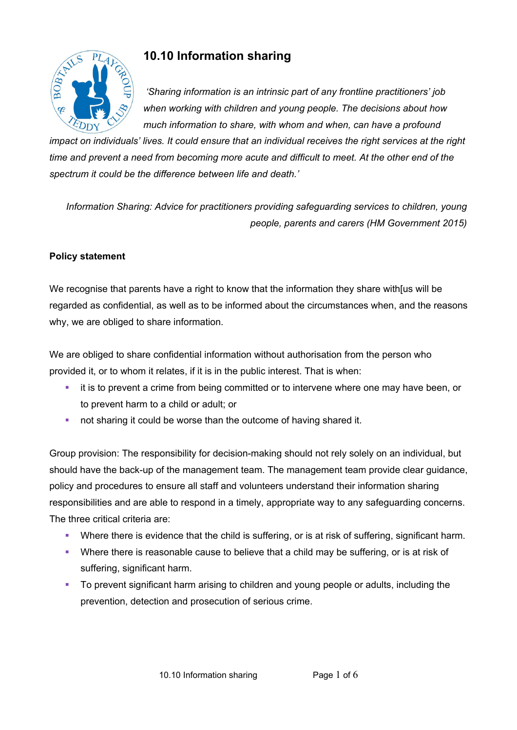

# **10.10 Information sharing**

 *'Sharing information is an intrinsic part of any frontline practitioners' job when working with children and young people. The decisions about how much information to share, with whom and when, can have a profound* 

*impact on individuals' lives. It could ensure that an individual receives the right services at the right time and prevent a need from becoming more acute and difficult to meet. At the other end of the spectrum it could be the difference between life and death.'*

*Information Sharing: Advice for practitioners providing safeguarding services to children, young people, parents and carers (HM Government 2015)*

## **Policy statement**

We recognise that parents have a right to know that the information they share with [us will be regarded as confidential, as well as to be informed about the circumstances when, and the reasons why, we are obliged to share information.

We are obliged to share confidential information without authorisation from the person who provided it, or to whom it relates, if it is in the public interest. That is when:

- it is to prevent a crime from being committed or to intervene where one may have been, or to prevent harm to a child or adult; or
- **not sharing it could be worse than the outcome of having shared it.**

Group provision: The responsibility for decision-making should not rely solely on an individual, but should have the back-up of the management team. The management team provide clear guidance, policy and procedures to ensure all staff and volunteers understand their information sharing responsibilities and are able to respond in a timely, appropriate way to any safeguarding concerns. The three critical criteria are:

- ! Where there is evidence that the child is suffering, or is at risk of suffering, significant harm.
- ! Where there is reasonable cause to believe that a child may be suffering, or is at risk of suffering, significant harm.
- ! To prevent significant harm arising to children and young people or adults, including the prevention, detection and prosecution of serious crime.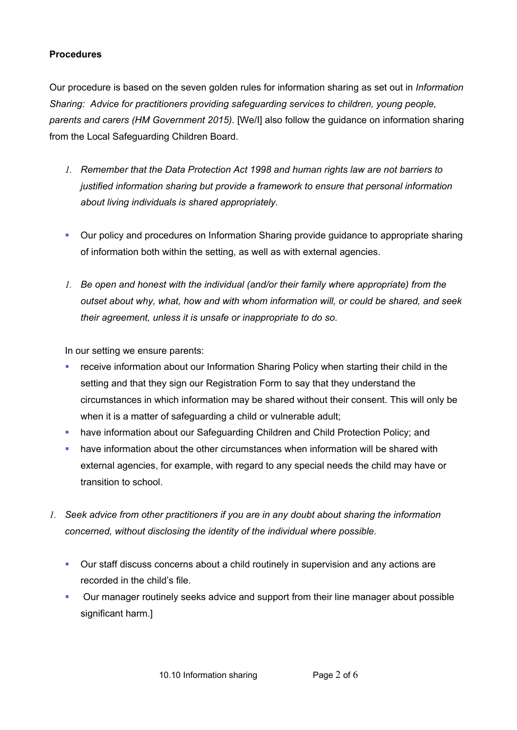#### **Procedures**

Our procedure is based on the seven golden rules for information sharing as set out in *Information Sharing: Advice for practitioners providing safeguarding services to children, young people, parents and carers (HM Government 2015).* [We/I] also follow the guidance on information sharing from the Local Safeguarding Children Board.

- *1. Remember that the Data Protection Act 1998 and human rights law are not barriers to justified information sharing but provide a framework to ensure that personal information about living individuals is shared appropriately.*
- ! Our policy and procedures on Information Sharing provide guidance to appropriate sharing of information both within the setting, as well as with external agencies.
- *1. Be open and honest with the individual (and/or their family where appropriate) from the outset about why, what, how and with whom information will, or could be shared, and seek their agreement, unless it is unsafe or inappropriate to do so.*

In our setting we ensure parents:

- ! receive information about our Information Sharing Policy when starting their child in the setting and that they sign our Registration Form to say that they understand the circumstances in which information may be shared without their consent. This will only be when it is a matter of safeguarding a child or vulnerable adult;
- ! have information about our Safeguarding Children and Child Protection Policy; and
- ! have information about the other circumstances when information will be shared with external agencies, for example, with regard to any special needs the child may have or transition to school.
- *1. Seek advice from other practitioners if you are in any doubt about sharing the information concerned, without disclosing the identity of the individual where possible.*
	- ! Our staff discuss concerns about a child routinely in supervision and any actions are recorded in the child's file.
	- **Our manager routinely seeks advice and support from their line manager about possible** significant harm.]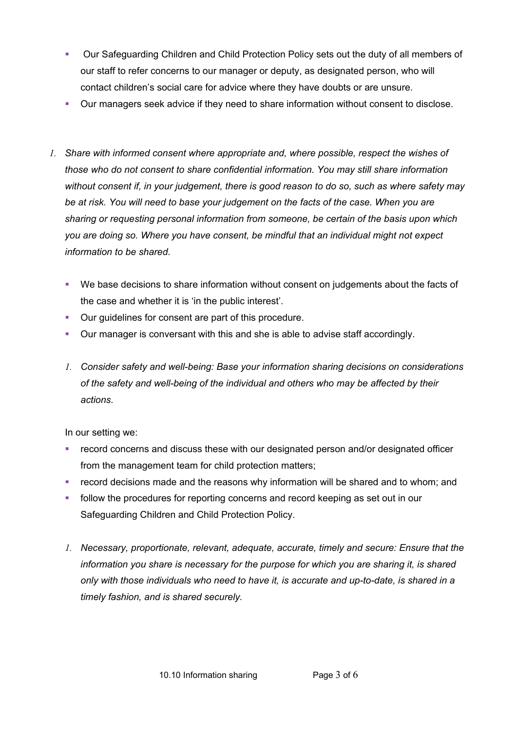- ! Our Safeguarding Children and Child Protection Policy sets out the duty of all members of our staff to refer concerns to our manager or deputy, as designated person, who will contact children's social care for advice where they have doubts or are unsure.
- ! Our managers seek advice if they need to share information without consent to disclose.
- *1. Share with informed consent where appropriate and, where possible, respect the wishes of those who do not consent to share confidential information. You may still share information without consent if, in your judgement, there is good reason to do so, such as where safety may be at risk. You will need to base your judgement on the facts of the case. When you are sharing or requesting personal information from someone, be certain of the basis upon which you are doing so. Where you have consent, be mindful that an individual might not expect information to be shared.*
	- ! We base decisions to share information without consent on judgements about the facts of the case and whether it is 'in the public interest'.
	- ! Our guidelines for consent are part of this procedure.
	- ! Our manager is conversant with this and she is able to advise staff accordingly.
	- *1. Consider safety and well-being: Base your information sharing decisions on considerations of the safety and well-being of the individual and others who may be affected by their actions.*

In our setting we:

- ! record concerns and discuss these with our designated person and/or designated officer from the management team for child protection matters;
- **EXECT** record decisions made and the reasons why information will be shared and to whom; and
- ! follow the procedures for reporting concerns and record keeping as set out in our Safeguarding Children and Child Protection Policy.
- *1. Necessary, proportionate, relevant, adequate, accurate, timely and secure: Ensure that the information you share is necessary for the purpose for which you are sharing it, is shared only with those individuals who need to have it, is accurate and up-to-date, is shared in a timely fashion, and is shared securely.*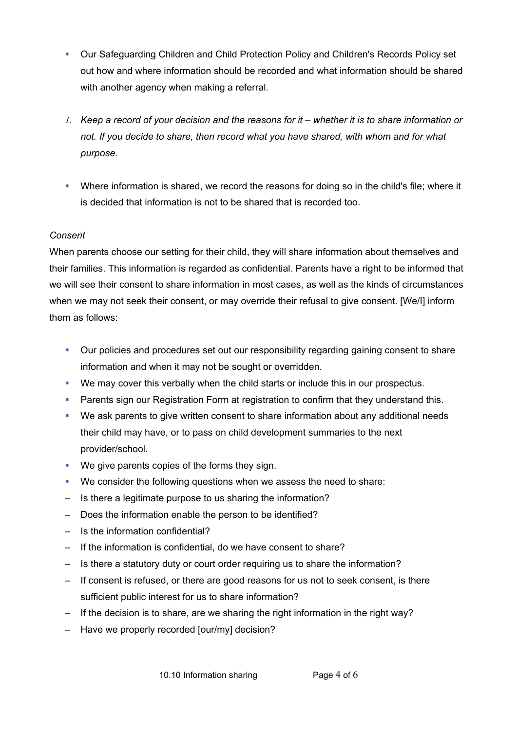- ! Our Safeguarding Children and Child Protection Policy and Children's Records Policy set out how and where information should be recorded and what information should be shared with another agency when making a referral.
- *1. Keep a record of your decision and the reasons for it whether it is to share information or not. If you decide to share, then record what you have shared, with whom and for what purpose.*
- ! Where information is shared, we record the reasons for doing so in the child's file; where it is decided that information is not to be shared that is recorded too.

### *Consent*

When parents choose our setting for their child, they will share information about themselves and their families. This information is regarded as confidential. Parents have a right to be informed that we will see their consent to share information in most cases, as well as the kinds of circumstances when we may not seek their consent, or may override their refusal to give consent. [We/I] inform them as follows:

- ! Our policies and procedures set out our responsibility regarding gaining consent to share information and when it may not be sought or overridden.
- ! We may cover this verbally when the child starts or include this in our prospectus.
- ! Parents sign our Registration Form at registration to confirm that they understand this.
- ! We ask parents to give written consent to share information about any additional needs their child may have, or to pass on child development summaries to the next provider/school.
- ! We give parents copies of the forms they sign.
- ! We consider the following questions when we assess the need to share:
- Is there a legitimate purpose to us sharing the information?
- Does the information enable the person to be identified?
- Is the information confidential?
- If the information is confidential, do we have consent to share?
- Is there a statutory duty or court order requiring us to share the information?
- If consent is refused, or there are good reasons for us not to seek consent, is there sufficient public interest for us to share information?
- If the decision is to share, are we sharing the right information in the right way?
- Have we properly recorded [our/my] decision?